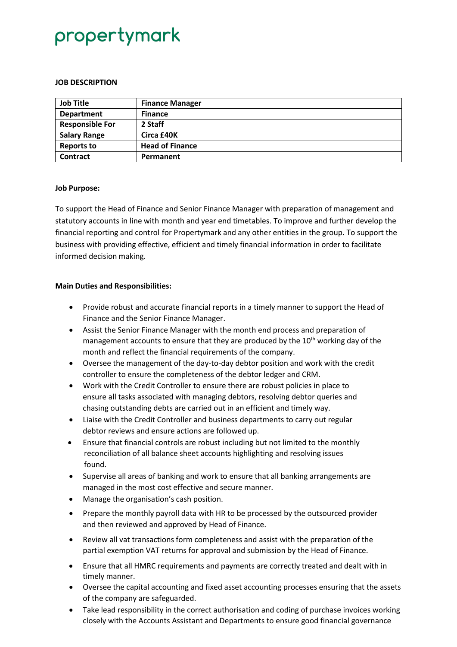# propertymark

#### **JOB DESCRIPTION**

| <b>Job Title</b>       | <b>Finance Manager</b> |
|------------------------|------------------------|
| <b>Department</b>      | <b>Finance</b>         |
| <b>Responsible For</b> | 2 Staff                |
| <b>Salary Range</b>    | Circa £40K             |
| <b>Reports to</b>      | <b>Head of Finance</b> |
| <b>Contract</b>        | Permanent              |

#### **Job Purpose:**

To support the Head of Finance and Senior Finance Manager with preparation of management and statutory accounts in line with month and year end timetables. To improve and further develop the financial reporting and control for Propertymark and any other entities in the group. To support the business with providing effective, efficient and timely financial information in order to facilitate informed decision making.

### **Main Duties and Responsibilities:**

- Provide robust and accurate financial reports in a timely manner to support the Head of Finance and the Senior Finance Manager.
- Assist the Senior Finance Manager with the month end process and preparation of management accounts to ensure that they are produced by the  $10<sup>th</sup>$  working day of the month and reflect the financial requirements of the company.
- Oversee the management of the day-to-day debtor position and work with the credit controller to ensure the completeness of the debtor ledger and CRM.
- Work with the Credit Controller to ensure there are robust policies in place to ensure all tasks associated with managing debtors, resolving debtor queries and chasing outstanding debts are carried out in an efficient and timely way.
- Liaise with the Credit Controller and business departments to carry out regular debtor reviews and ensure actions are followed up.
- Ensure that financial controls are robust including but not limited to the monthly reconciliation of all balance sheet accounts highlighting and resolving issues found.
- Supervise all areas of banking and work to ensure that all banking arrangements are managed in the most cost effective and secure manner.
- Manage the organisation's cash position.
- Prepare the monthly payroll data with HR to be processed by the outsourced provider and then reviewed and approved by Head of Finance.
- Review all vat transactions form completeness and assist with the preparation of the partial exemption VAT returns for approval and submission by the Head of Finance.
- Ensure that all HMRC requirements and payments are correctly treated and dealt with in timely manner.
- Oversee the capital accounting and fixed asset accounting processes ensuring that the assets of the company are safeguarded.
- Take lead responsibility in the correct authorisation and coding of purchase invoices working closely with the Accounts Assistant and Departments to ensure good financial governance